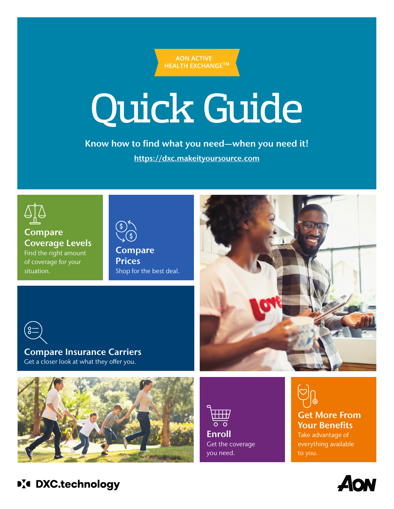**AON ACTIVE HEALTH EXCHANGE™** 

# Quick Guide

Know how to find what you need—when you need it! [https://dxc.makeityoursource.com](https://dxc.makeityoursource.com/)



Compare Coverage Levels Find the right amount of coverage for your situation.

Compare **Prices** Shop for the best deal.



Compare Insurance Carriers Get a closer look at what they offer you.



 $\overline{\mathbf{H}}\mathbf{H}$  $\overline{\circ}$   $\overline{\circ}$ Enroll Get the coverage you need.

Get More From Your Benefits Take advantage of everything available to you.



**D'4 DXC.technology**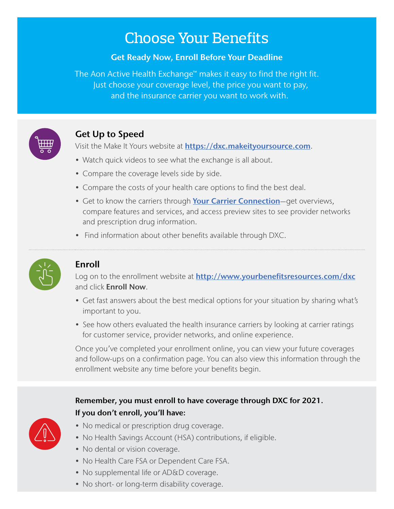# Choose Your Benefits

#### Get Ready Now, Enroll Before Your Deadline

The Aon Active Health Exchange™ makes it easy to find the right fit. Just choose your coverage level, the price you want to pay, and the insurance carrier you want to work with.



# Get Up to Speed

Visit the Make It Yours website at **[https://dxc.makeityoursource.com](https://dxc.makeityoursource.com/)**.

- Watch quick videos to see what the exchange is all about.
- Compare the coverage levels side by side.
- Compare the costs of your health care options to find the best deal.
- Get to know the carriers through [Your Carrier Connection](https://dxc.makeityoursource.com/your-carrier-connection)-get overviews, compare features and services, and access preview sites to see provider networks and prescription drug information.
- Find information about other benefits available through DXC.



## Enroll

Log on to the enrollment website at **[http://www.yourbenefitsresources.com/dxc](https://leplb0490.upoint.alight.com/web/csc/login?forkPage=false#/routing)** and click **Enroll Now**.

- Get fast answers about the best medical options for your situation by sharing what's important to you.
- See how others evaluated the health insurance carriers by looking at carrier ratings for customer service, provider networks, and online experience.

Once you've completed your enrollment online, you can view your future coverages and follow-ups on a confirmation page. You can also view this information through the enrollment website any time before your benefits begin.

## Remember, you must enroll to have coverage through DXC for 2021. If you don't enroll, you'll have:

- No medical or prescription drug coverage.
- No Health Savings Account (HSA) contributions, if eligible.
- No dental or vision coverage.
- No Health Care FSA or Dependent Care FSA.
- No supplemental life or AD&D coverage.
- No short- or long-term disability coverage.